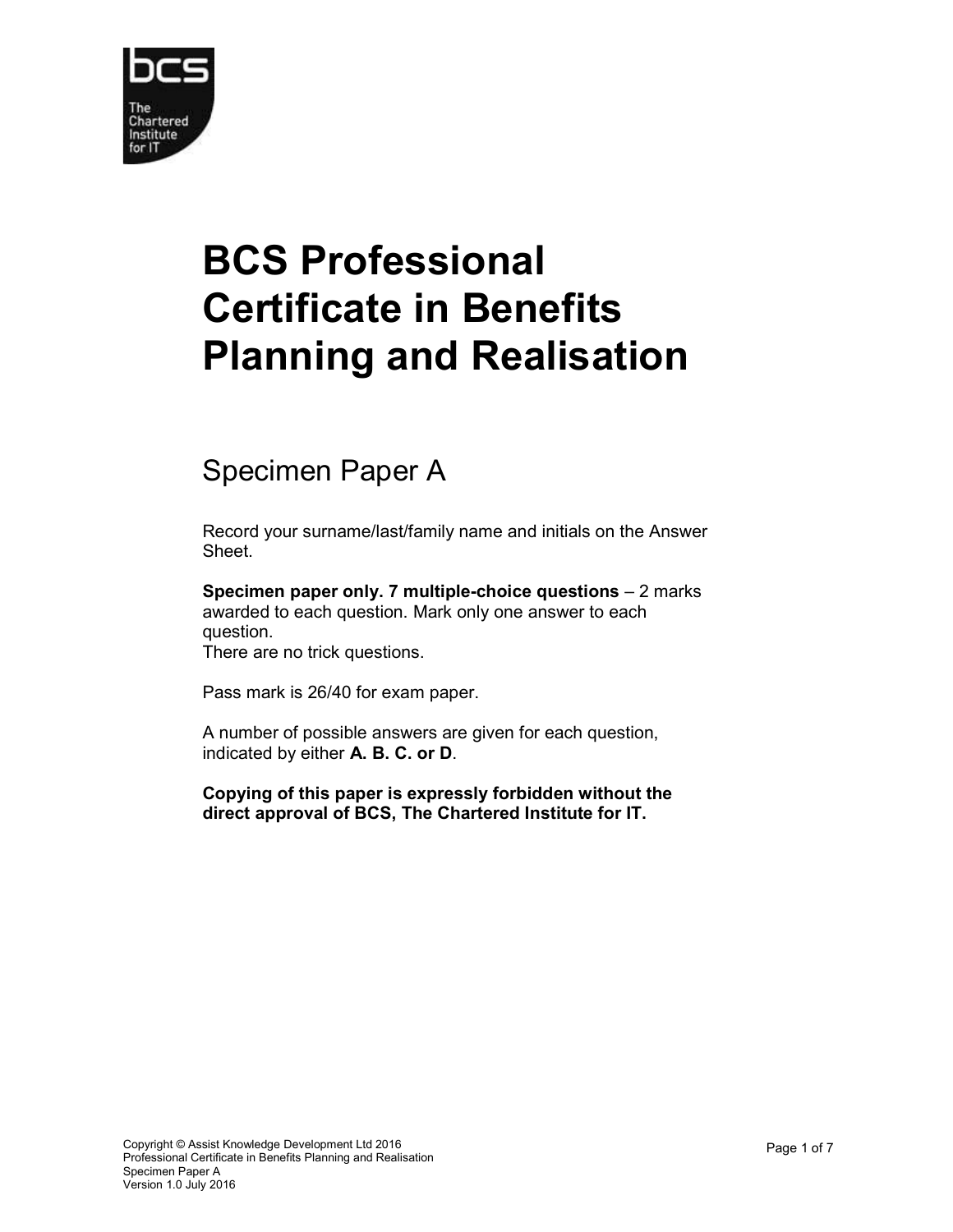

# BCS Professional Certificate in Benefits Planning and Realisation

## Specimen Paper A

Record your surname/last/family name and initials on the Answer Sheet.

Specimen paper only. 7 multiple-choice questions – 2 marks awarded to each question. Mark only one answer to each question.

There are no trick questions.

Pass mark is 26/40 for exam paper.

A number of possible answers are given for each question, indicated by either A. B. C. or D.

Copying of this paper is expressly forbidden without the direct approval of BCS, The Chartered Institute for IT.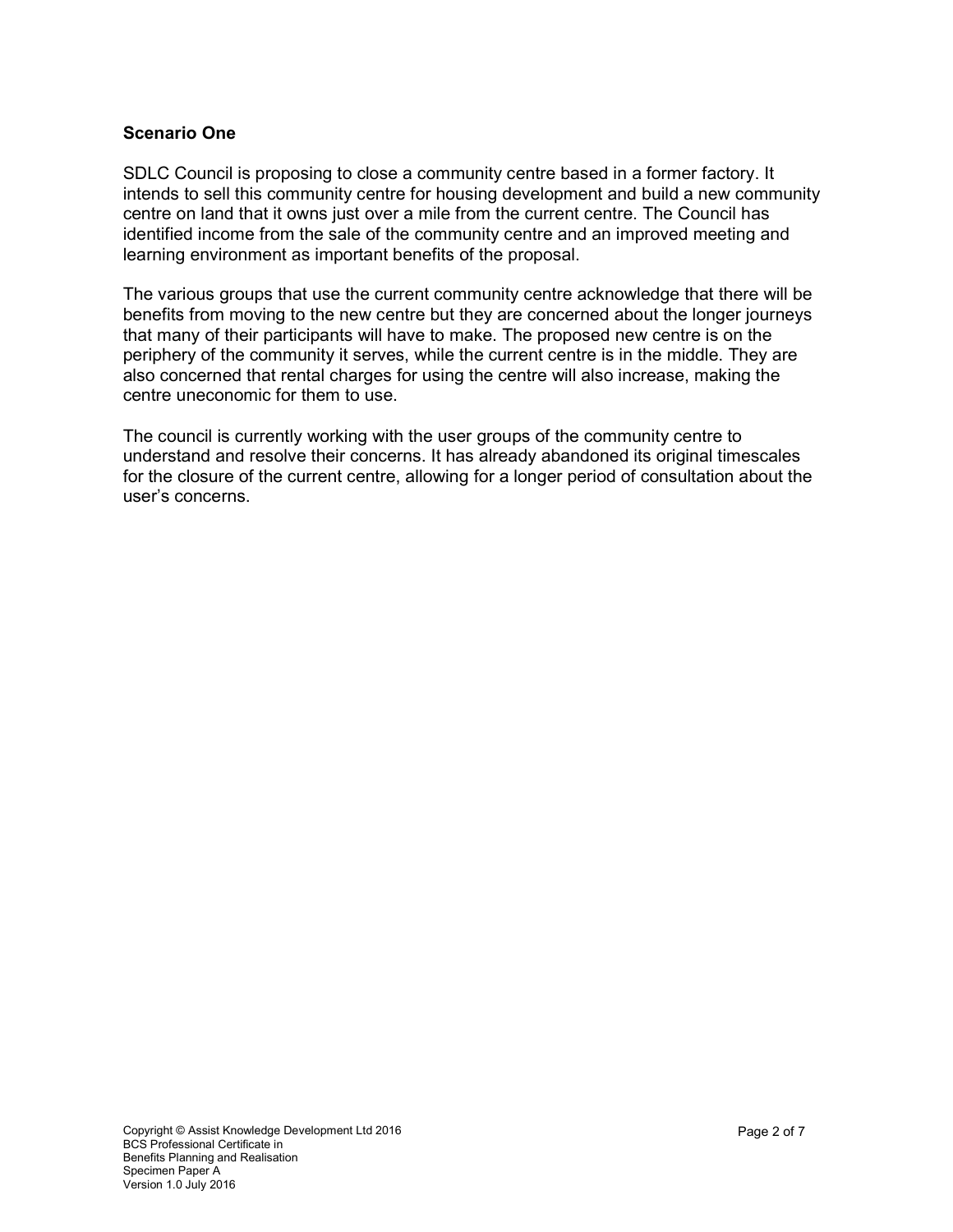#### Scenario One

SDLC Council is proposing to close a community centre based in a former factory. It intends to sell this community centre for housing development and build a new community centre on land that it owns just over a mile from the current centre. The Council has identified income from the sale of the community centre and an improved meeting and learning environment as important benefits of the proposal.

The various groups that use the current community centre acknowledge that there will be benefits from moving to the new centre but they are concerned about the longer journeys that many of their participants will have to make. The proposed new centre is on the periphery of the community it serves, while the current centre is in the middle. They are also concerned that rental charges for using the centre will also increase, making the centre uneconomic for them to use.

The council is currently working with the user groups of the community centre to understand and resolve their concerns. It has already abandoned its original timescales for the closure of the current centre, allowing for a longer period of consultation about the user's concerns.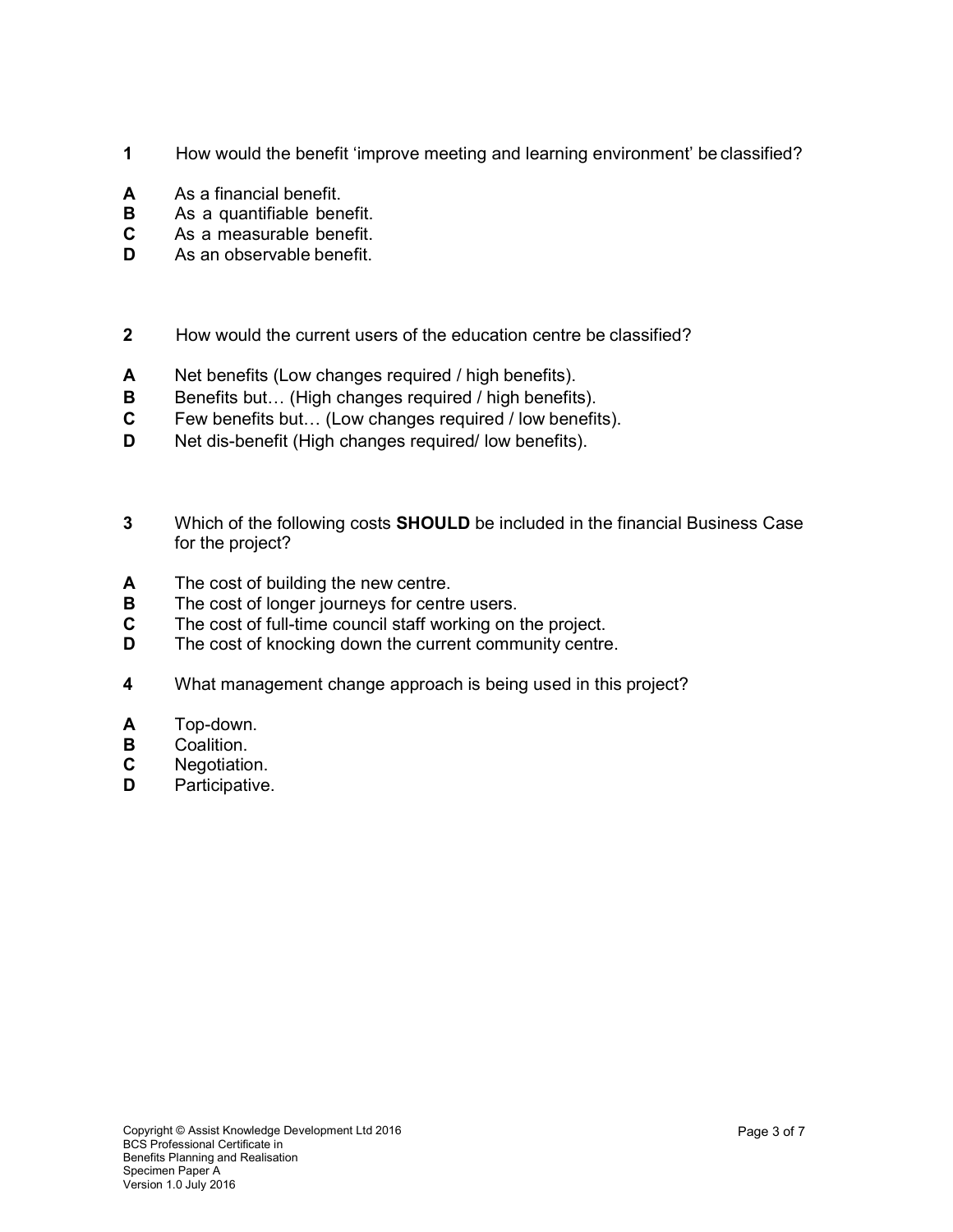- 1 How would the benefit 'improve meeting and learning environment' be classified?
- A As a financial benefit.
- **B** As a quantifiable benefit.
- C As a measurable benefit.
- **D** As an observable benefit.
- 2 How would the current users of the education centre be classified?
- A Net benefits (Low changes required / high benefits).
- **B** Benefits but... (High changes required / high benefits).
- C Few benefits but… (Low changes required / low benefits).
- D Net dis-benefit (High changes required/ low benefits).
- 3 Which of the following costs **SHOULD** be included in the financial Business Case for the project?
- A The cost of building the new centre.
- **B** The cost of longer journeys for centre users.
- **C** The cost of full-time council staff working on the project.
- D The cost of knocking down the current community centre.
- 4 What management change approach is being used in this project?
- A Top-down.
- **B** Coalition.
- C Negotiation.
- **D** Participative.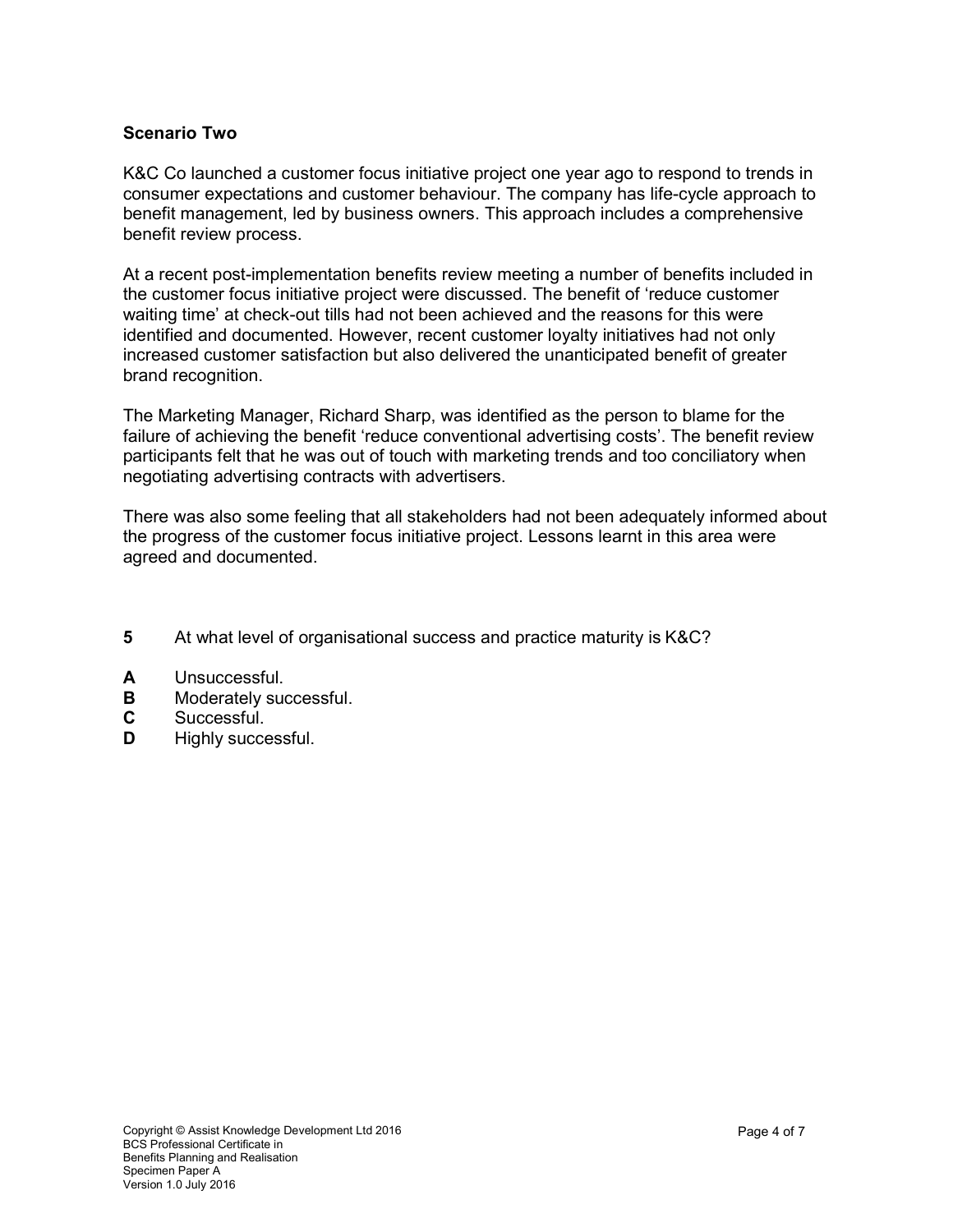#### Scenario Two

K&C Co launched a customer focus initiative project one year ago to respond to trends in consumer expectations and customer behaviour. The company has life-cycle approach to benefit management, led by business owners. This approach includes a comprehensive benefit review process.

At a recent post-implementation benefits review meeting a number of benefits included in the customer focus initiative project were discussed. The benefit of 'reduce customer waiting time' at check-out tills had not been achieved and the reasons for this were identified and documented. However, recent customer loyalty initiatives had not only increased customer satisfaction but also delivered the unanticipated benefit of greater brand recognition.

The Marketing Manager, Richard Sharp, was identified as the person to blame for the failure of achieving the benefit 'reduce conventional advertising costs'. The benefit review participants felt that he was out of touch with marketing trends and too conciliatory when negotiating advertising contracts with advertisers.

There was also some feeling that all stakeholders had not been adequately informed about the progress of the customer focus initiative project. Lessons learnt in this area were agreed and documented.

- 5 At what level of organisational success and practice maturity is K&C?
- A Unsuccessful.
- **B** Moderately successful.
- C Successful.
- D Highly successful.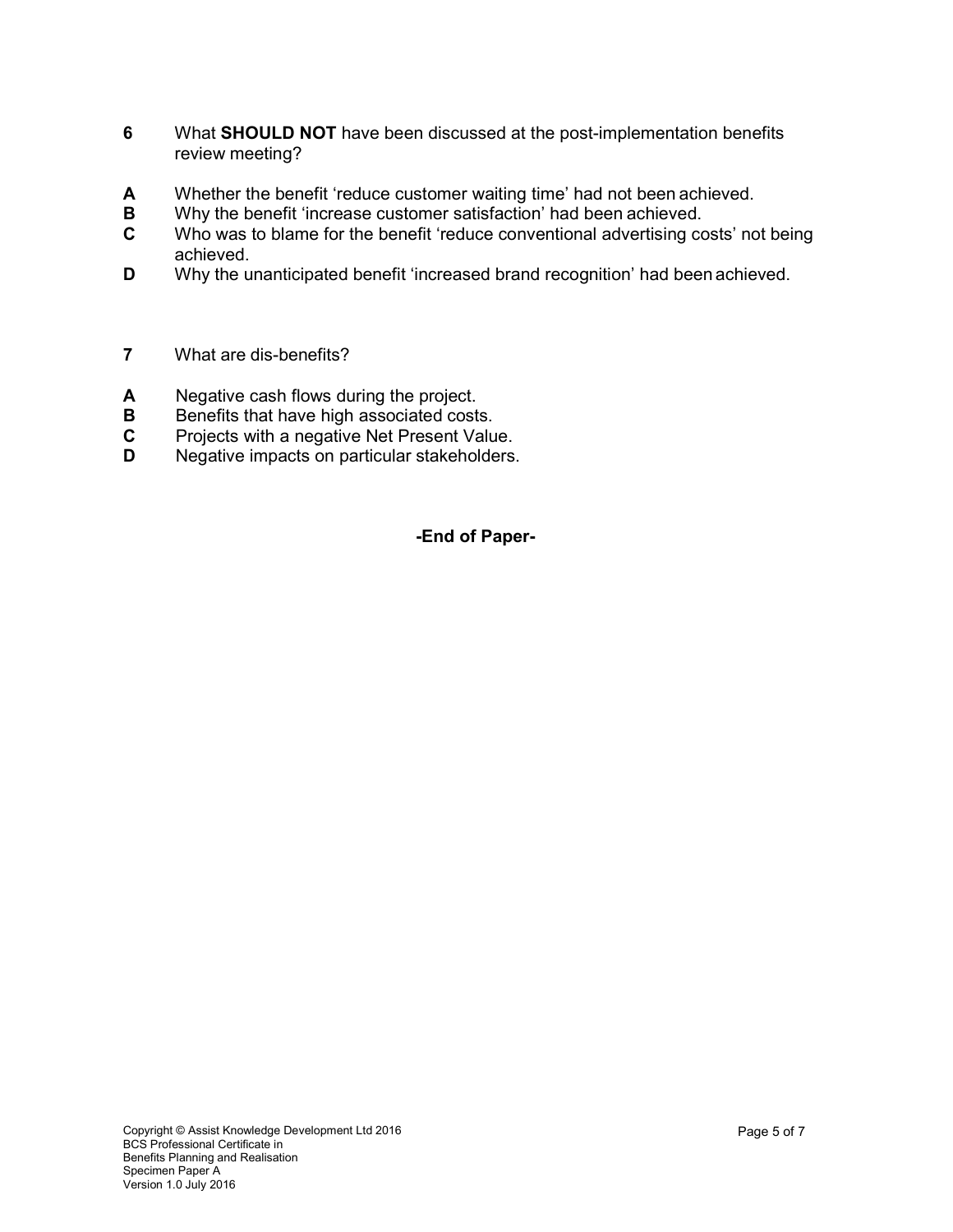- 6 What **SHOULD NOT** have been discussed at the post-implementation benefits review meeting?
- A Whether the benefit 'reduce customer waiting time' had not been achieved.
- B Why the benefit 'increase customer satisfaction' had been achieved.
- C Who was to blame for the benefit 'reduce conventional advertising costs' not being achieved.
- D Why the unanticipated benefit 'increased brand recognition' had been achieved.
- 7 What are dis-benefits?
- A Negative cash flows during the project.
- **B** Benefits that have high associated costs.
- **C** Projects with a negative Net Present Value.
- **D** Negative impacts on particular stakeholders.

-End of Paper-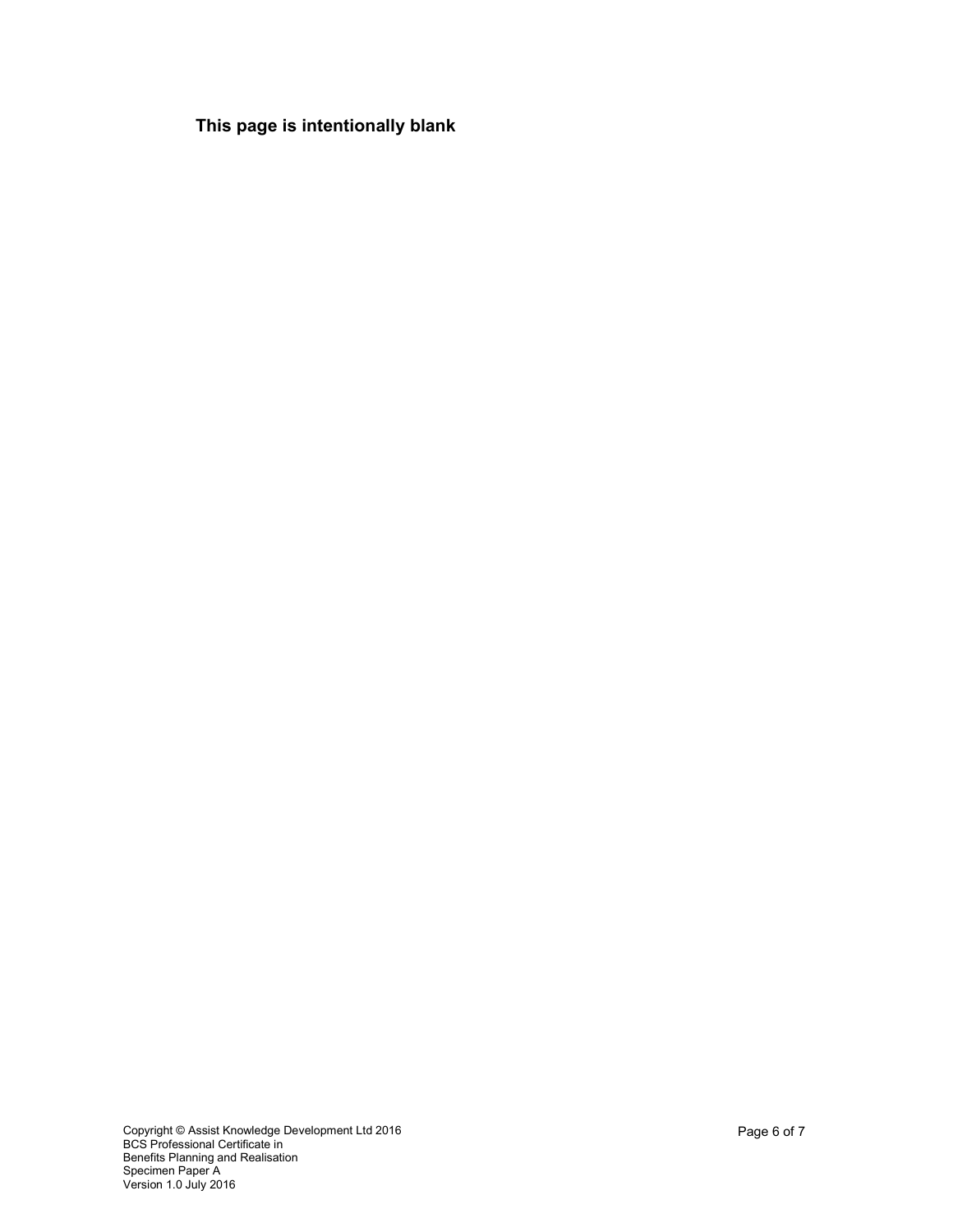This page is intentionally blank